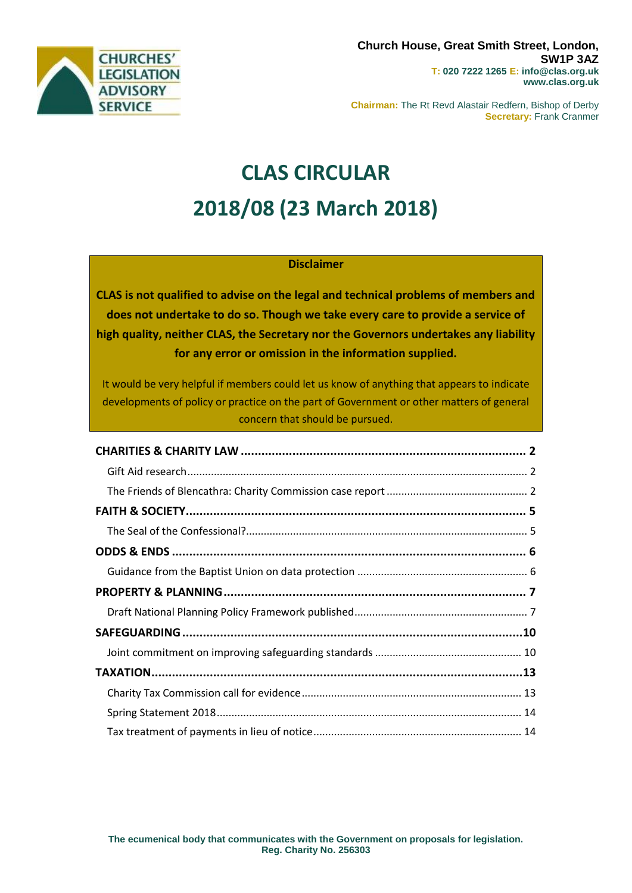

**Chairman:** The Rt Revd Alastair Redfern, Bishop of Derby **Secretary:** Frank Cranmer

# **CLAS CIRCULAR 2018/08 (23 March 2018)**

### **Disclaimer**

**CLAS is not qualified to advise on the legal and technical problems of members and does not undertake to do so. Though we take every care to provide a service of high quality, neither CLAS, the Secretary nor the Governors undertakes any liability for any error or omission in the information supplied.**

It would be very helpful if members could let us know of anything that appears to indicate developments of policy or practice on the part of Government or other matters of general concern that should be pursued.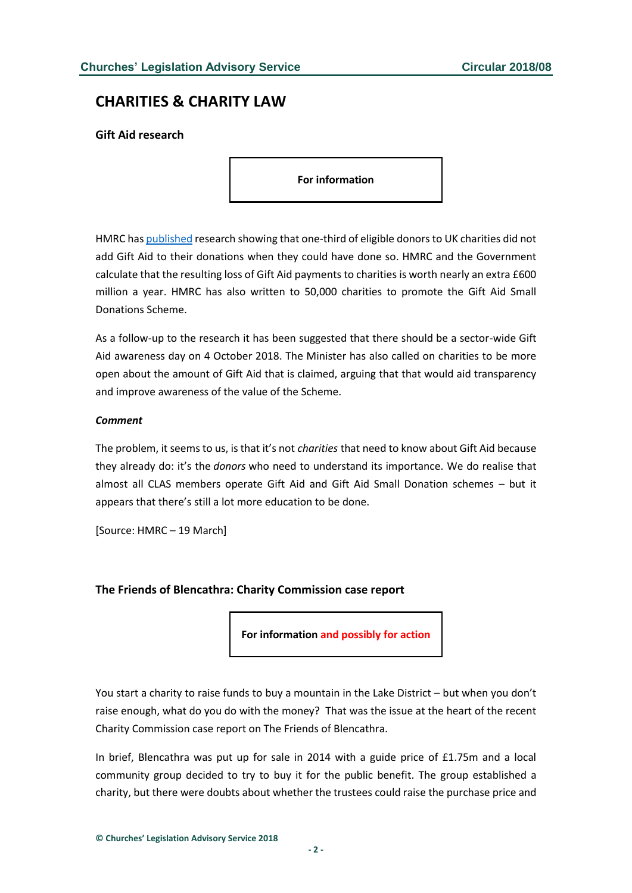# <span id="page-1-0"></span>**CHARITIES & CHARITY LAW**

### <span id="page-1-1"></span>**Gift Aid research**

**For information**

HMRC ha[s published](http://www.gov.uk/government/uploads/system/uploads/attachment_data/file/690609/HMRC_Report_482__GiftAid_Research_Report.pdf) research showing that one-third of eligible donors to UK charities did not add Gift Aid to their donations when they could have done so. HMRC and the Government calculate that the resulting loss of Gift Aid payments to charities is worth nearly an extra £600 million a year. HMRC has also written to 50,000 charities to promote the Gift Aid Small Donations Scheme.

As a follow-up to the research it has been suggested that there should be a sector-wide Gift Aid awareness day on 4 October 2018. The Minister has also called on charities to be more open about the amount of Gift Aid that is claimed, arguing that that would aid transparency and improve awareness of the value of the Scheme.

#### *Comment*

The problem, it seems to us, is that it's not *charities* that need to know about Gift Aid because they already do: it's the *donors* who need to understand its importance. We do realise that almost all CLAS members operate Gift Aid and Gift Aid Small Donation schemes – but it appears that there's still a lot more education to be done.

[Source: HMRC – 19 March]

### <span id="page-1-2"></span>**The Friends of Blencathra: Charity Commission case report**

**For information and possibly for action**

You start a charity to raise funds to buy a mountain in the Lake District – but when you don't raise enough, what do you do with the money? That was the issue at the heart of the recent Charity Commission case report on The Friends of Blencathra.

In brief, Blencathra was put up for sale in 2014 with a guide price of £1.75m and a local community group decided to try to buy it for the public benefit. The group established a charity, but there were doubts about whether the trustees could raise the purchase price and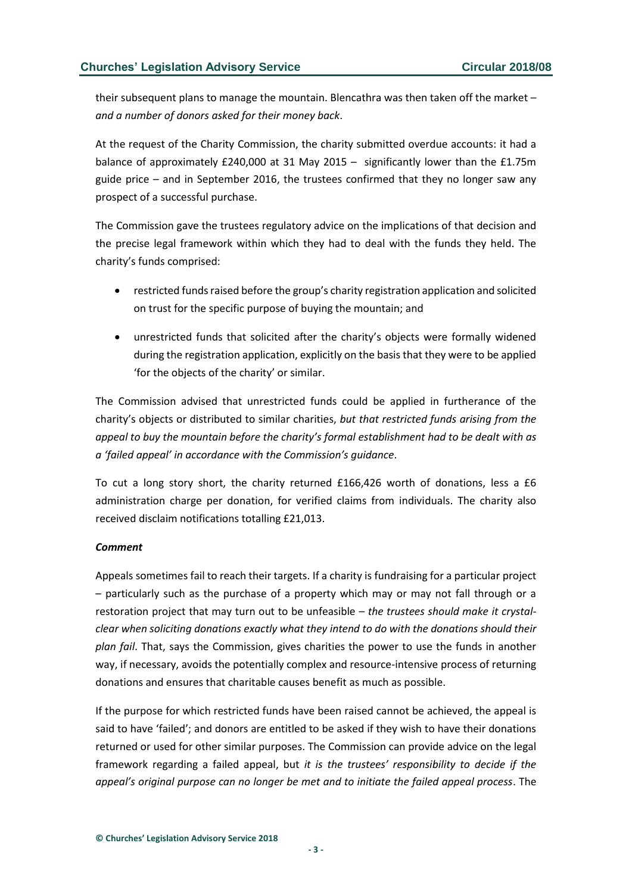their subsequent plans to manage the mountain. Blencathra was then taken off the market – *and a number of donors asked for their money back*.

At the request of the Charity Commission, the charity submitted overdue accounts: it had a balance of approximately £240,000 at 31 May 2015 – significantly lower than the £1.75m guide price – and in September 2016, the trustees confirmed that they no longer saw any prospect of a successful purchase.

The Commission gave the trustees regulatory advice on the implications of that decision and the precise legal framework within which they had to deal with the funds they held. The charity's funds comprised:

- restricted funds raised before the group's charity registration application and solicited on trust for the specific purpose of buying the mountain; and
- unrestricted funds that solicited after the charity's objects were formally widened during the registration application, explicitly on the basis that they were to be applied 'for the objects of the charity' or similar.

The Commission advised that unrestricted funds could be applied in furtherance of the charity's objects or distributed to similar charities, *but that restricted funds arising from the appeal to buy the mountain before the charity's formal establishment had to be dealt with as a 'failed appeal' in accordance with the Commission's guidance*.

To cut a long story short, the charity returned £166,426 worth of donations, less a £6 administration charge per donation, for verified claims from individuals. The charity also received disclaim notifications totalling £21,013.

#### *Comment*

Appeals sometimes fail to reach their targets. If a charity is fundraising for a particular project – particularly such as the purchase of a property which may or may not fall through or a restoration project that may turn out to be unfeasible – *the trustees should make it crystalclear when soliciting donations exactly what they intend to do with the donations should their plan fail*. That, says the Commission, gives charities the power to use the funds in another way, if necessary, avoids the potentially complex and resource-intensive process of returning donations and ensures that charitable causes benefit as much as possible.

If the purpose for which restricted funds have been raised cannot be achieved, the appeal is said to have 'failed'; and donors are entitled to be asked if they wish to have their donations returned or used for other similar purposes. The Commission can provide advice on the legal framework regarding a failed appeal, but *it is the trustees' responsibility to decide if the appeal's original purpose can no longer be met and to initiate the failed appeal process*. The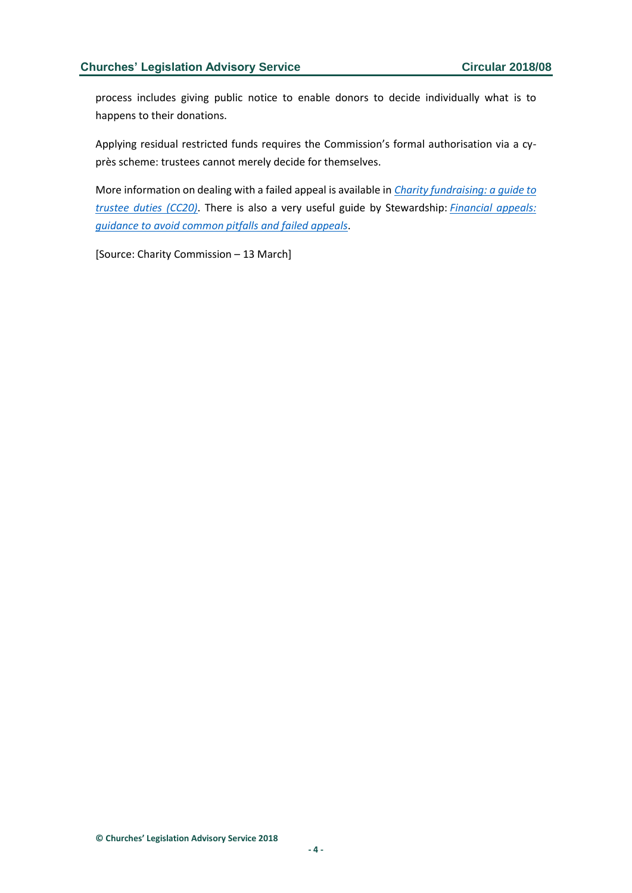process includes giving public notice to enable donors to decide individually what is to happens to their donations.

Applying residual restricted funds requires the Commission's formal authorisation via a cyprès scheme: trustees cannot merely decide for themselves.

More information on dealing with a failed appeal is available in *[Charity fundraising: a guide to](https://www.gov.uk/government/publications/charities-and-fundraising-cc20/charities-and-fundraising)  [trustee duties \(CC20\)](https://www.gov.uk/government/publications/charities-and-fundraising-cc20/charities-and-fundraising)*. There is also a very useful guide by Stewardship: *[Financial appeals:](https://www.stewardship.org.uk/downloads/briefingpapers/financial-appeals.pdf)  [guidance to avoid common pitfalls and failed appeals](https://www.stewardship.org.uk/downloads/briefingpapers/financial-appeals.pdf)*.

[Source: Charity Commission – 13 March]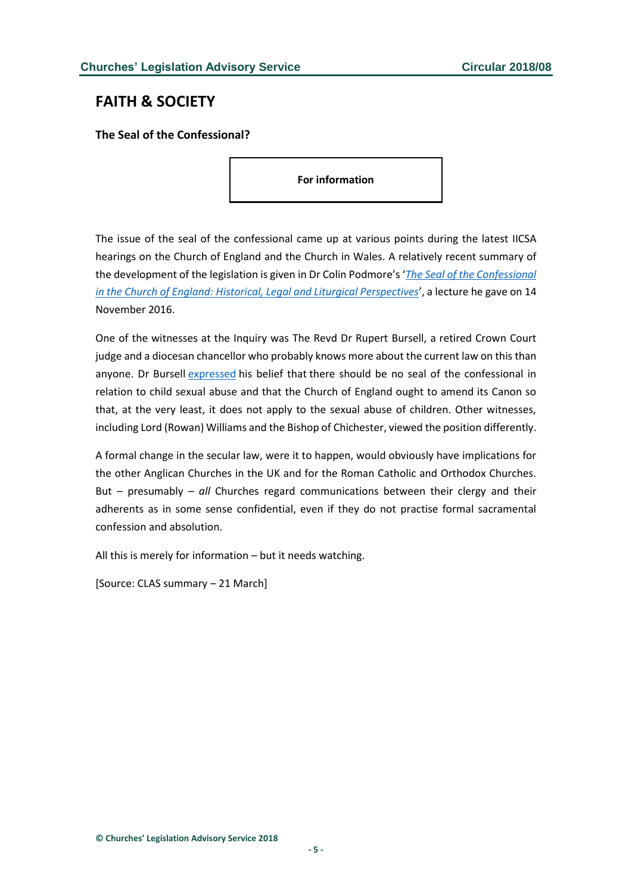## <span id="page-4-0"></span>**FAITH & SOCIETY**

<span id="page-4-1"></span>**The Seal of the Confessional?**

**For information**

The issue of the seal of the confessional came up at various points during the latest IICSA hearings on the Church of England and the Church in Wales. A relatively recent summary of the development of the legislation is given in Dr Colin Podmore's '*[The Seal of the Confessional](https://www.forwardinfaith.com/uploads/16_11_The_Seal_of_the_Confessional_in_the_Church_of_England.pdf)  [in the Church of England: Historical, Legal and Liturgical Perspectives](https://www.forwardinfaith.com/uploads/16_11_The_Seal_of_the_Confessional_in_the_Church_of_England.pdf)*', a lecture he gave on 14 November 2016.

One of the witnesses at the Inquiry was The Revd Dr Rupert Bursell, a retired Crown Court judge and a diocesan chancellor who probably knows more about the current law on this than anyone. Dr Bursell [expressed](http://www.lawandreligionuk.com/2018/03/15/iicsa-some-legal-views/#Seal of the confessional) his belief that there should be no seal of the confessional in relation to child sexual abuse and that the Church of England ought to amend its Canon so that, at the very least, it does not apply to the sexual abuse of children. Other witnesses, including Lord (Rowan) Williams and the Bishop of Chichester, viewed the position differently.

A formal change in the secular law, were it to happen, would obviously have implications for the other Anglican Churches in the UK and for the Roman Catholic and Orthodox Churches. But – presumably – *all* Churches regard communications between their clergy and their adherents as in some sense confidential, even if they do not practise formal sacramental confession and absolution.

All this is merely for information – but it needs watching.

[Source: CLAS summary – 21 March]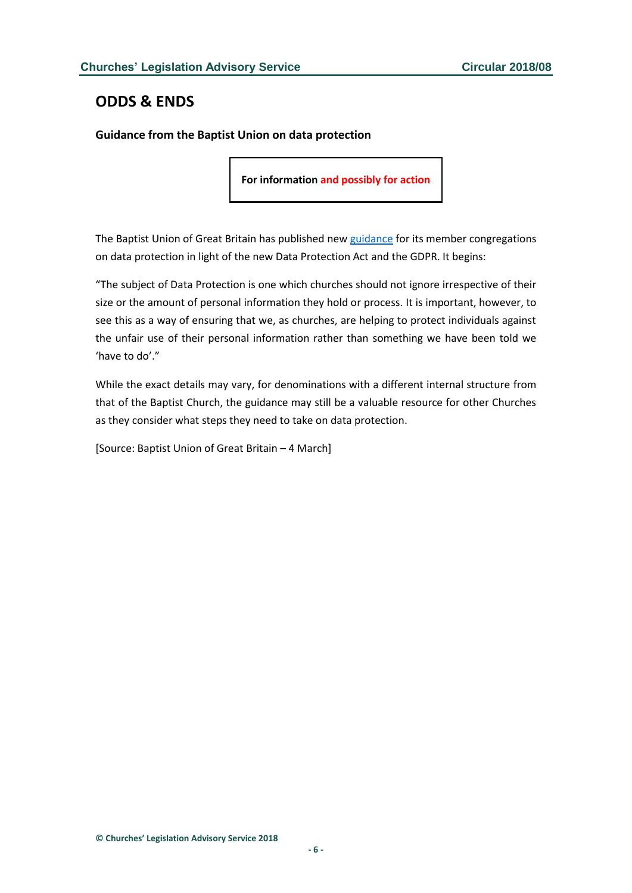# <span id="page-5-0"></span>**ODDS & ENDS**

<span id="page-5-1"></span>**Guidance from the Baptist Union on data protection**

**For information and possibly for action**

The Baptist Union of Great Britain has published new [guidance](https://www.baptist.org.uk/Groups/302154/Data_Protection_and.aspx?redirected=1) for its member congregations on data protection in light of the new Data Protection Act and the GDPR. It begins:

"The subject of Data Protection is one which churches should not ignore irrespective of their size or the amount of personal information they hold or process. It is important, however, to see this as a way of ensuring that we, as churches, are helping to protect individuals against the unfair use of their personal information rather than something we have been told we 'have to do'."

While the exact details may vary, for denominations with a different internal structure from that of the Baptist Church, the guidance may still be a valuable resource for other Churches as they consider what steps they need to take on data protection.

[Source: Baptist Union of Great Britain – 4 March]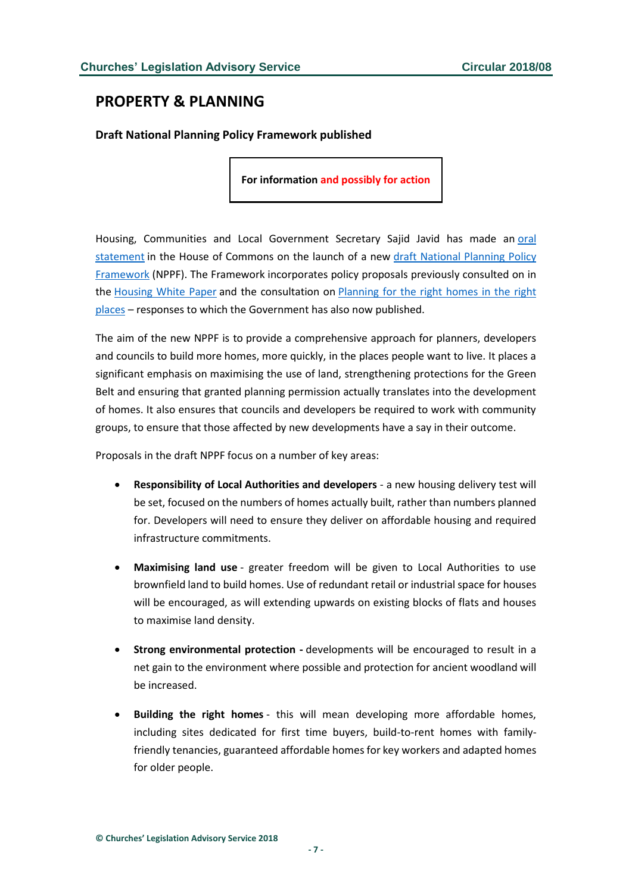# <span id="page-6-0"></span>**PROPERTY & PLANNING**

<span id="page-6-1"></span>**Draft National Planning Policy Framework published**

**For information and possibly for action**

Housing, Communities and Local Government Secretary Sajid Javid has made an [oral](http://hansard.parliament.uk/commons/2018-03-05/debates/A38CAC61-3011-45DC-B70C-EE85EA12C914/NationalPlanningPolicyFramework)  [statement](http://hansard.parliament.uk/commons/2018-03-05/debates/A38CAC61-3011-45DC-B70C-EE85EA12C914/NationalPlanningPolicyFramework) in the House of Commons on the launch of a new [draft National Planning Policy](http://www.gov.uk/government/consultations/draft-revised-national-planning-policy-framework)  [Framework](http://www.gov.uk/government/consultations/draft-revised-national-planning-policy-framework) (NPPF). The Framework incorporates policy proposals previously consulted on in the [Housing White Paper](http://www.gov.uk/government/consultations/fixing-our-broken-housing-market-consultation) and the consultation on [Planning for the right homes in the right](http://www.gov.uk/government/consultations/planning-for-the-right-homes-in-the-right-places-consultation-proposals)  [places](http://www.gov.uk/government/consultations/planning-for-the-right-homes-in-the-right-places-consultation-proposals) – responses to which the Government has also now published.

The aim of the new NPPF is to provide a comprehensive approach for planners, developers and councils to build more homes, more quickly, in the places people want to live. It places a significant emphasis on maximising the use of land, strengthening protections for the Green Belt and ensuring that granted planning permission actually translates into the development of homes. It also ensures that councils and developers be required to work with community groups, to ensure that those affected by new developments have a say in their outcome.

Proposals in the draft NPPF focus on a number of key areas:

- **Responsibility of Local Authorities and developers** a new housing delivery test will be set, focused on the numbers of homes actually built, rather than numbers planned for. Developers will need to ensure they deliver on affordable housing and required infrastructure commitments.
- **Maximising land use** greater freedom will be given to Local Authorities to use brownfield land to build homes. Use of redundant retail or industrial space for houses will be encouraged, as will extending upwards on existing blocks of flats and houses to maximise land density.
- **Strong environmental protection -** developments will be encouraged to result in a net gain to the environment where possible and protection for ancient woodland will be increased.
- **Building the right homes** this will mean developing more affordable homes, including sites dedicated for first time buyers, build-to-rent homes with familyfriendly tenancies, guaranteed affordable homes for key workers and adapted homes for older people.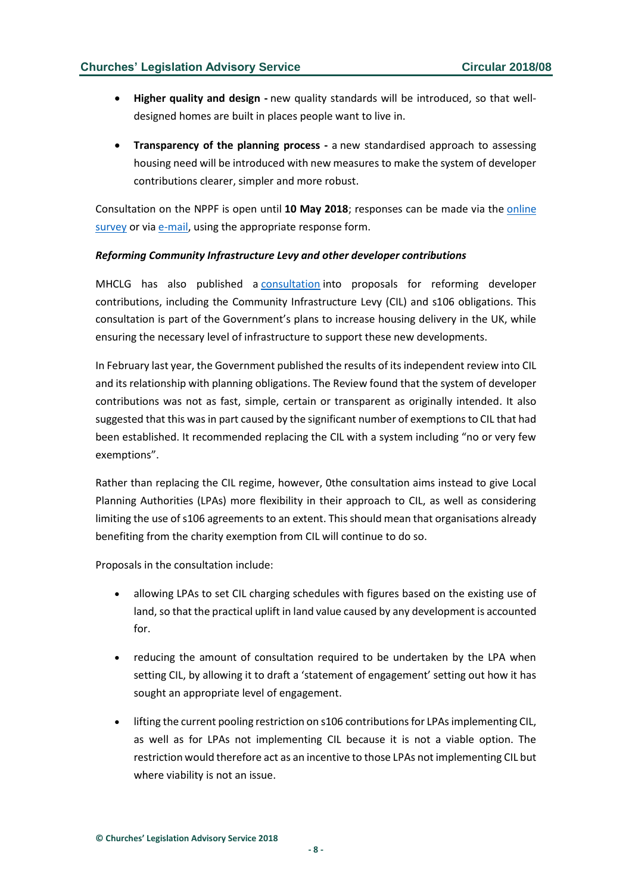- **Higher quality and design -** new quality standards will be introduced, so that welldesigned homes are built in places people want to live in.
- **Transparency of the planning process -** a new standardised approach to assessing housing need will be introduced with new measures to make the system of developer contributions clearer, simpler and more robust.

Consultation on the NPPF is open until **10 May 2018**; responses can be made via the [online](http://www.surveymonkey.co.uk/r/NPPFconsultation)  [survey](http://www.surveymonkey.co.uk/r/NPPFconsultation) or via [e-mail,](mailto:planningpolicyconsultation@communities.gsi.gov.uk) using the appropriate response form.

#### *Reforming Community Infrastructure Levy and other developer contributions*

MHCLG has also published a [consultation](https://www.gov.uk/government/consultations/supporting-housing-delivery-through-developer-contributions) into proposals for reforming developer contributions, including the Community Infrastructure Levy (CIL) and s106 obligations. This consultation is part of the Government's plans to increase housing delivery in the UK, while ensuring the necessary level of infrastructure to support these new developments.

In February last year, the Government published the results of its independent review into CIL and its relationship with planning obligations. The Review found that the system of developer contributions was not as fast, simple, certain or transparent as originally intended. It also suggested that this was in part caused by the significant number of exemptions to CIL that had been established. It recommended replacing the CIL with a system including "no or very few exemptions".

Rather than replacing the CIL regime, however, 0the consultation aims instead to give Local Planning Authorities (LPAs) more flexibility in their approach to CIL, as well as considering limiting the use of s106 agreements to an extent. This should mean that organisations already benefiting from the charity exemption from CIL will continue to do so.

Proposals in the consultation include:

- allowing LPAs to set CIL charging schedules with figures based on the existing use of land, so that the practical uplift in land value caused by any development is accounted for.
- reducing the amount of consultation required to be undertaken by the LPA when setting CIL, by allowing it to draft a 'statement of engagement' setting out how it has sought an appropriate level of engagement.
- lifting the current pooling restriction on s106 contributions for LPAs implementing CIL, as well as for LPAs not implementing CIL because it is not a viable option. The restriction would therefore act as an incentive to those LPAs not implementing CIL but where viability is not an issue.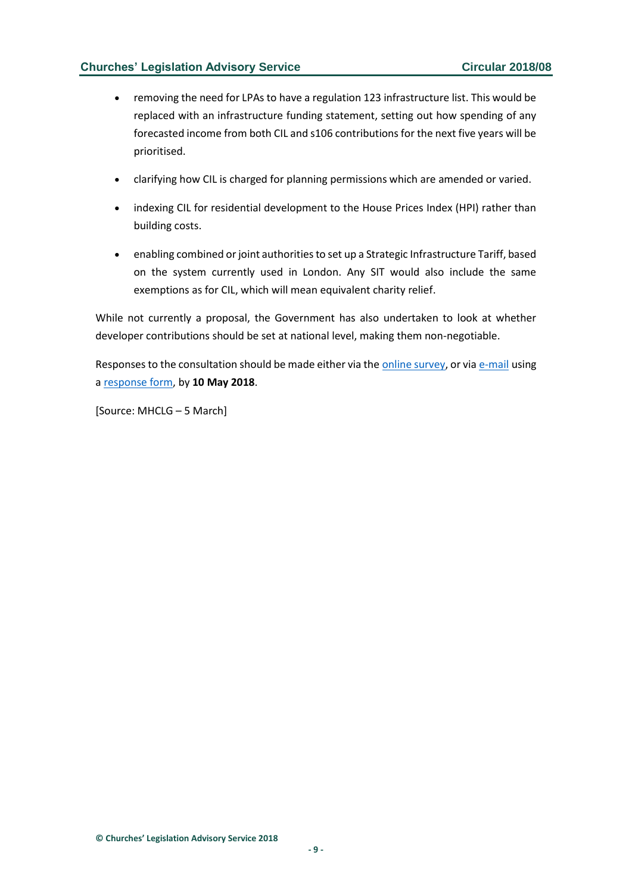### **Churches' Legislation Advisory Service Circular 2018/08**

- removing the need for LPAs to have a regulation 123 infrastructure list. This would be replaced with an infrastructure funding statement, setting out how spending of any forecasted income from both CIL and s106 contributions for the next five years will be prioritised.
- clarifying how CIL is charged for planning permissions which are amended or varied.
- indexing CIL for residential development to the House Prices Index (HPI) rather than building costs.
- enabling combined or joint authorities to set up a Strategic Infrastructure Tariff, based on the system currently used in London. Any SIT would also include the same exemptions as for CIL, which will mean equivalent charity relief.

While not currently a proposal, the Government has also undertaken to look at whether developer contributions should be set at national level, making them non-negotiable.

Responses to the consultation should be made either via the [online survey,](https://www.surveymonkey.co.uk/r/TH577RP) or via [e-mail](mailto:developercontributionsconsultation@communities.gsi.gov.uk) using a [response form,](https://assets.publishing.service.gov.uk/government/uploads/system/uploads/consultation_response_form_data/file/649/Developer_Contributions_response_form.docx) by **10 May 2018**.

[Source: MHCLG – 5 March]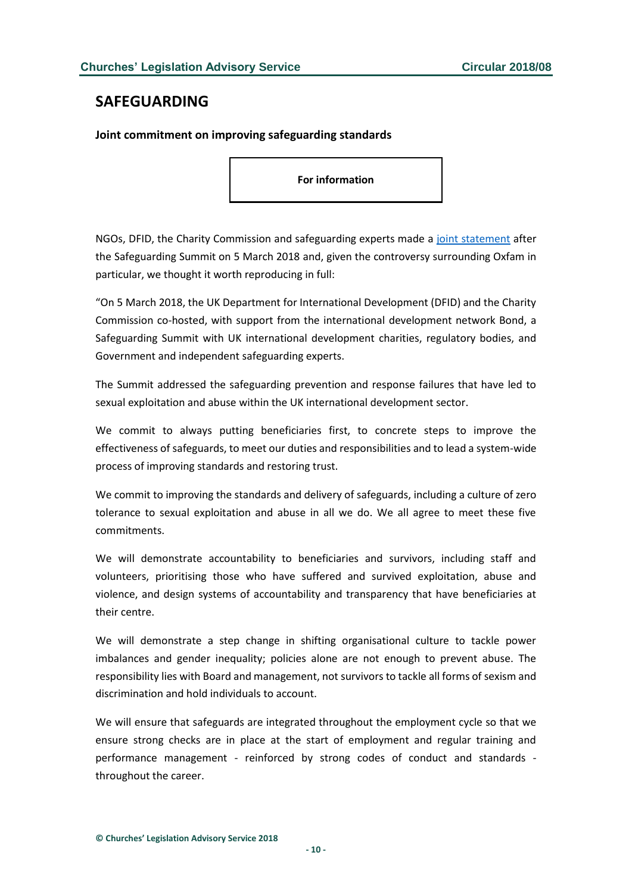## <span id="page-9-0"></span>**SAFEGUARDING**

#### <span id="page-9-1"></span>**Joint commitment on improving safeguarding standards**

**For information**

NGOs, DFID, the Charity Commission and safeguarding experts made a [joint statement](https://www.gov.uk/government/publications/joint-statement-safeguarding-summit-5-march-2018) after the Safeguarding Summit on 5 March 2018 and, given the controversy surrounding Oxfam in particular, we thought it worth reproducing in full:

"On 5 March 2018, the UK Department for International Development (DFID) and the Charity Commission co-hosted, with support from the international development network Bond, a Safeguarding Summit with UK international development charities, regulatory bodies, and Government and independent safeguarding experts.

The Summit addressed the safeguarding prevention and response failures that have led to sexual exploitation and abuse within the UK international development sector.

We commit to always putting beneficiaries first, to concrete steps to improve the effectiveness of safeguards, to meet our duties and responsibilities and to lead a system-wide process of improving standards and restoring trust.

We commit to improving the standards and delivery of safeguards, including a culture of zero tolerance to sexual exploitation and abuse in all we do. We all agree to meet these five commitments.

We will demonstrate accountability to beneficiaries and survivors, including staff and volunteers, prioritising those who have suffered and survived exploitation, abuse and violence, and design systems of accountability and transparency that have beneficiaries at their centre.

We will demonstrate a step change in shifting organisational culture to tackle power imbalances and gender inequality; policies alone are not enough to prevent abuse. The responsibility lies with Board and management, not survivors to tackle all forms of sexism and discrimination and hold individuals to account.

We will ensure that safeguards are integrated throughout the employment cycle so that we ensure strong checks are in place at the start of employment and regular training and performance management - reinforced by strong codes of conduct and standards throughout the career.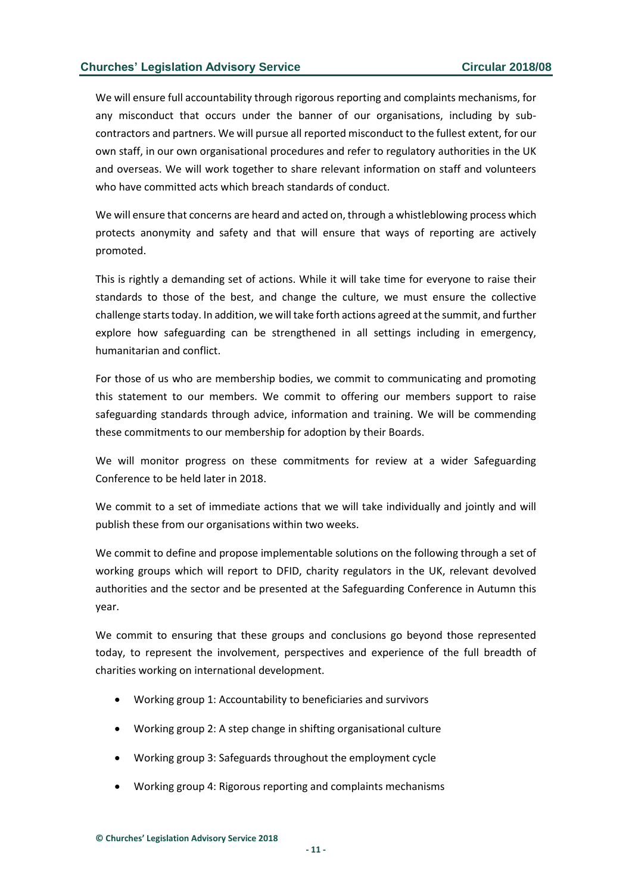We will ensure full accountability through rigorous reporting and complaints mechanisms, for any misconduct that occurs under the banner of our organisations, including by subcontractors and partners. We will pursue all reported misconduct to the fullest extent, for our own staff, in our own organisational procedures and refer to regulatory authorities in the UK and overseas. We will work together to share relevant information on staff and volunteers who have committed acts which breach standards of conduct.

We will ensure that concerns are heard and acted on, through a whistleblowing process which protects anonymity and safety and that will ensure that ways of reporting are actively promoted.

This is rightly a demanding set of actions. While it will take time for everyone to raise their standards to those of the best, and change the culture, we must ensure the collective challenge starts today. In addition, we will take forth actions agreed at the summit, and further explore how safeguarding can be strengthened in all settings including in emergency, humanitarian and conflict.

For those of us who are membership bodies, we commit to communicating and promoting this statement to our members. We commit to offering our members support to raise safeguarding standards through advice, information and training. We will be commending these commitments to our membership for adoption by their Boards.

We will monitor progress on these commitments for review at a wider Safeguarding Conference to be held later in 2018.

We commit to a set of immediate actions that we will take individually and jointly and will publish these from our organisations within two weeks.

We commit to define and propose implementable solutions on the following through a set of working groups which will report to DFID, charity regulators in the UK, relevant devolved authorities and the sector and be presented at the Safeguarding Conference in Autumn this year.

We commit to ensuring that these groups and conclusions go beyond those represented today, to represent the involvement, perspectives and experience of the full breadth of charities working on international development.

- Working group 1: Accountability to beneficiaries and survivors
- Working group 2: A step change in shifting organisational culture
- Working group 3: Safeguards throughout the employment cycle
- Working group 4: Rigorous reporting and complaints mechanisms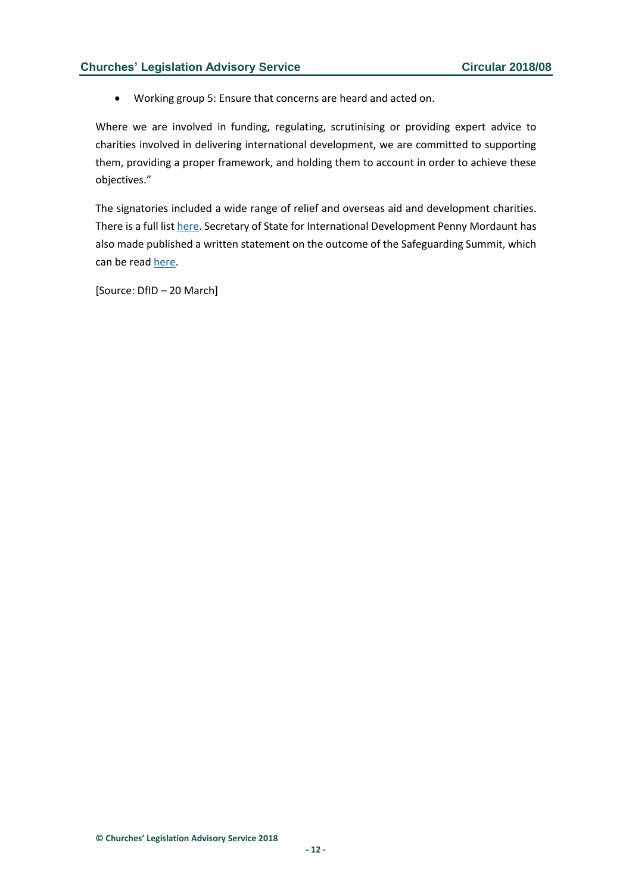• Working group 5: Ensure that concerns are heard and acted on.

Where we are involved in funding, regulating, scrutinising or providing expert advice to charities involved in delivering international development, we are committed to supporting them, providing a proper framework, and holding them to account in order to achieve these objectives."

The signatories included a wide range of relief and overseas aid and development charities. There is a full list [here.](https://www.bond.org.uk/news/2018/03/ngos-and-government-jointly-commit-to-improving-safeguarding-standards) Secretary of State for International Development Penny Mordaunt has also made published a written statement on the outcome of the Safeguarding Summit, which can be read [here.](http://www.parliament.uk/business/publications/written-questions-answers-statements/written-statement/Commons/2018-03-20/HCWS568/)

[Source: DfID – 20 March]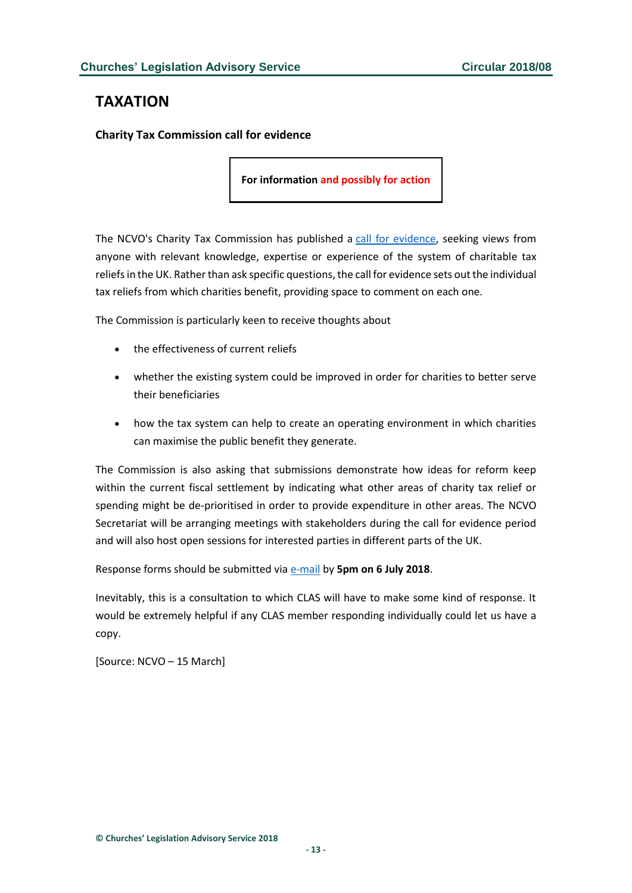# <span id="page-12-0"></span>**TAXATION**

<span id="page-12-1"></span>**Charity Tax Commission call for evidence**

**For information and possibly for action**

The NCVO's Charity Tax Commission has published a [call for evidence,](http://www.ncvo.org.uk/about-us/media-centre/press-releases/2183-charity-tax-commission-launches-public-call-for-evidence) seeking views from anyone with relevant knowledge, expertise or experience of the system of charitable tax reliefs in the UK. Rather than ask specific questions, the call for evidence sets out the individual tax reliefs from which charities benefit, providing space to comment on each one.

The Commission is particularly keen to receive thoughts about

- the effectiveness of current reliefs
- whether the existing system could be improved in order for charities to better serve their beneficiaries
- how the tax system can help to create an operating environment in which charities can maximise the public benefit they generate.

The Commission is also asking that submissions demonstrate how ideas for reform keep within the current fiscal settlement by indicating what other areas of charity tax relief or spending might be de-prioritised in order to provide expenditure in other areas. The NCVO Secretariat will be arranging meetings with stakeholders during the call for evidence period and will also host open sessions for interested parties in different parts of the UK.

Response forms should be submitted via [e-mail](mailto:info@charitytaxcommission.org.uk) by **5pm on 6 July 2018**.

Inevitably, this is a consultation to which CLAS will have to make some kind of response. It would be extremely helpful if any CLAS member responding individually could let us have a copy.

[Source: NCVO – 15 March]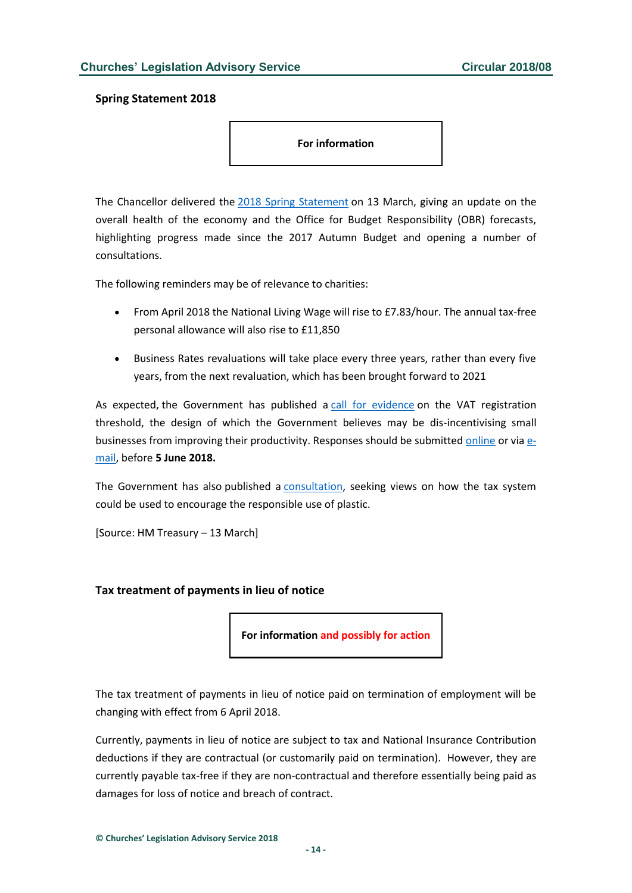#### <span id="page-13-0"></span>**Spring Statement 2018**

**For information**

The Chancellor delivered the [2018 Spring Statement](http://www.gov.uk/government/speeches/spring-statement-2018-philip-hammonds-speech) on 13 March, giving an update on the overall health of the economy and the Office for Budget Responsibility (OBR) forecasts, highlighting progress made since the 2017 Autumn Budget and opening a number of consultations.

The following reminders may be of relevance to charities:

- From April 2018 the National Living Wage will rise to £7.83/hour. The annual tax-free personal allowance will also rise to £11,850
- Business Rates revaluations will take place every three years, rather than every five years, from the next revaluation, which has been brought forward to 2021

As expected, the Government has published a [call for evidence](http://www.gov.uk/government/consultations/vat-registration-threshold-call-for-evidence) on the VAT registration threshold, the design of which the Government believes may be dis-incentivising small businesses from improving their productivity. Responses should be submitted [online](http://www.surveymonkey.co.uk/r/W7TLCZ7) or via [e](mailto:vatthreshold@hmtreasury.gsi.gov.uk)[mail,](mailto:vatthreshold@hmtreasury.gsi.gov.uk) before **5 June 2018.**

The Government has also published a [consultation,](http://www.gov.uk/government/consultations/tackling-the-plastic-problem) seeking views on how the tax system could be used to encourage the responsible use of plastic.

[Source: HM Treasury – 13 March]

#### <span id="page-13-1"></span>**Tax treatment of payments in lieu of notice**

**For information and possibly for action**

The tax treatment of payments in lieu of notice paid on termination of employment will be changing with effect from 6 April 2018.

Currently, payments in lieu of notice are subject to tax and National Insurance Contribution deductions if they are contractual (or customarily paid on termination). However, they are currently payable tax-free if they are non-contractual and therefore essentially being paid as damages for loss of notice and breach of contract.